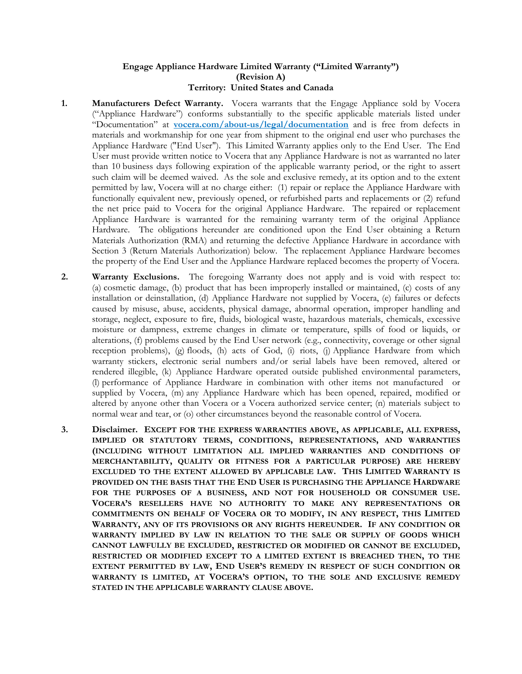## **Engage Appliance Hardware Limited Warranty ("Limited Warranty") (Revision A) Territory: United States and Canada**

- **1. Manufacturers Defect Warranty.** Vocera warrants that the Engage Appliance sold by Vocera ("Appliance Hardware") conforms substantially to the specific applicable materials listed under "Documentation" at **vocera.com/about-us/legal/documentation** and is free from defects in materials and workmanship for one year from shipment to the original end user who purchases the Appliance Hardware ("End User"). This Limited Warranty applies only to the End User. The End User must provide written notice to Vocera that any Appliance Hardware is not as warranted no later than 10 business days following expiration of the applicable warranty period, or the right to assert such claim will be deemed waived. As the sole and exclusive remedy, at its option and to the extent permitted by law, Vocera will at no charge either: (1) repair or replace the Appliance Hardware with functionally equivalent new, previously opened, or refurbished parts and replacements or (2) refund the net price paid to Vocera for the original Appliance Hardware. The repaired or replacement Appliance Hardware is warranted for the remaining warranty term of the original Appliance Hardware. The obligations hereunder are conditioned upon the End User obtaining a Return Materials Authorization (RMA) and returning the defective Appliance Hardware in accordance with Section 3 (Return Materials Authorization) below. The replacement Appliance Hardware becomes the property of the End User and the Appliance Hardware replaced becomes the property of Vocera.
- **2. Warranty Exclusions.** The foregoing Warranty does not apply and is void with respect to: (a) cosmetic damage, (b) product that has been improperly installed or maintained, (c) costs of any installation or deinstallation, (d) Appliance Hardware not supplied by Vocera, (e) failures or defects caused by misuse, abuse, accidents, physical damage, abnormal operation, improper handling and storage, neglect, exposure to fire, fluids, biological waste, hazardous materials, chemicals, excessive moisture or dampness, extreme changes in climate or temperature, spills of food or liquids, or alterations, (f) problems caused by the End User network (e.g., connectivity, coverage or other signal reception problems), (g) floods, (h) acts of God, (i) riots, (j) Appliance Hardware from which warranty stickers, electronic serial numbers and/or serial labels have been removed, altered or rendered illegible, (k) Appliance Hardware operated outside published environmental parameters, (l) performance of Appliance Hardware in combination with other items not manufactured or supplied by Vocera, (m) any Appliance Hardware which has been opened, repaired, modified or altered by anyone other than Vocera or a Vocera authorized service center; (n) materials subject to normal wear and tear, or (o) other circumstances beyond the reasonable control of Vocera.
- **3. Disclaimer. EXCEPT FOR THE EXPRESS WARRANTIES ABOVE, AS APPLICABLE, ALL EXPRESS, IMPLIED OR STATUTORY TERMS, CONDITIONS, REPRESENTATIONS, AND WARRANTIES (INCLUDING WITHOUT LIMITATION ALL IMPLIED WARRANTIES AND CONDITIONS OF MERCHANTABILITY, QUALITY OR FITNESS FOR A PARTICULAR PURPOSE) ARE HEREBY EXCLUDED TO THE EXTENT ALLOWED BY APPLICABLE LAW. THIS LIMITED WARRANTY IS PROVIDED ON THE BASIS THAT THE END USER IS PURCHASING THE APPLIANCE HARDWARE FOR THE PURPOSES OF A BUSINESS, AND NOT FOR HOUSEHOLD OR CONSUMER USE. VOCERA'S RESELLERS HAVE NO AUTHORITY TO MAKE ANY REPRESENTATIONS OR COMMITMENTS ON BEHALF OF VOCERA OR TO MODIFY, IN ANY RESPECT, THIS LIMITED WARRANTY, ANY OF ITS PROVISIONS OR ANY RIGHTS HEREUNDER. IF ANY CONDITION OR WARRANTY IMPLIED BY LAW IN RELATION TO THE SALE OR SUPPLY OF GOODS WHICH CANNOT LAWFULLY BE EXCLUDED, RESTRICTED OR MODIFIED OR CANNOT BE EXCLUDED, RESTRICTED OR MODIFIED EXCEPT TO A LIMITED EXTENT IS BREACHED THEN, TO THE EXTENT PERMITTED BY LAW, END USER'S REMEDY IN RESPECT OF SUCH CONDITION OR WARRANTY IS LIMITED, AT VOCERA'S OPTION, TO THE SOLE AND EXCLUSIVE REMEDY STATED IN THE APPLICABLE WARRANTY CLAUSE ABOVE.**